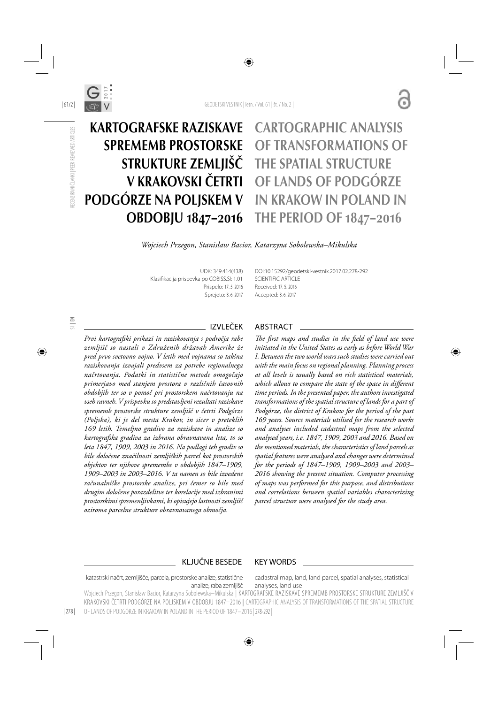

| 61/2 |

RECENZIRANI ČLANKI | PEER-REVIEWED ARTICLES

RECENZIRANI ČLANKI | PEER-REVIEWED ARTICLES

# KARTOGRAFSKE RAZISKAVE SPREMEMB PROSTORSKE STRUKTURE ZEMLJIŠČ V KRAKOVSKI ČETRTI PODGÓRZE NA POLJSKEM V OBDOBJU 1847–2016

# CARTOGRAPHIC ANALYSIS OF TRANSFORMATIONS OF THE SPATIAL STRUCTURE OF LANDS OF PODGÓRZE IN KRAKOW IN POLAND IN THE PERIOD OF 1847–2016

*Wojciech Przegon, Stanisław Bacior, Katarzyna Sobolewska–Mikulska*

UDK: 349.414(438) Klasifikacija prispevka po COBISS.SI: 1.01 Prispelo: 17. 5. 2016 Sprejeto: 8. 6. 2017

DOI:10.15292/geodetski-vestnik.2017.02.278-292 SCIENTIFIC ARTICLE Received: 17. 5. 2016 Accepted: 8. 6. 2017

# SI | EN

*Prvi kartografski prikazi in raziskovanja s področja rabe zemljišč so nastali v Združenih državah Amerike že pred prvo svetovno vojno. V letih med vojnama so takšna raziskovanja izvajali predvsem za potrebe regionalnega načrtovanja. Podatki in statistične metode omogočajo primerjavo med stanjem prostora v različnih časovnih obdobjih ter so v pomoč pri prostorskem načrtovanju na vseh ravneh. V prispevku so predstavljeni rezultati raziskave sprememb prostorske strukture zemljišč v četrti Podgórze (Poljska), ki je del mesta Krakov, in sicer v preteklih 169 letih. Temeljno gradivo za raziskave in analize so kartografska gradiva za izbrana obravnavana leta, to so leta 1847, 1909, 2003 in 2016. Na podlagi teh gradiv so bile določene značilnosti zemljiških parcel kot prostorskih objektov ter njihove spremembe v obdobjih 1847–1909, 1909–2003 in 2003–2016. V ta namen so bile izvedene računalniške prostorske analize, pri čemer so bile med drugim določene porazdelitve ter korelacije med izbranimi prostorskimi spremenljivkami, ki opisujejo lastnosti zemljišč oziroma parcelne strukture obravnavanega območja.*

#### IZVLEČEK ABSTRACT

The first maps and studies in the field of land use were *initiated in the United States as early as before World War I. Between the two world wars such studies were carried out with the main focus on regional planning. Planning process at all levels is usually based on rich statistical materials,*  which allows to compare the state of the space in different *time periods. In the presented paper, the authors investigated transformations of the spatial structure of lands for a part of Podgórze, the district of Krakow for the period of the past 169 years. Source materials utilised for the research works and analyses included cadastral maps from the selected analysed years, i.e. 1847, 1909, 2003 and 2016. Based on the mentioned materials, the characteristics of land parcels as spatial features were analysed and changes were determined for the periods of 1847–1909, 1909–2003 and 2003– 2016 showing the present situation. Computer processing of maps was performed for this purpose, and distributions and correlations between spatial variables characterizing parcel structure were analysed for the study area.*

#### KLJUČNE BESEDE KEY WORDS

cadastral map, land, land parcel, spatial analyses, statistical analyses, land use katastrski načrt, zemljišče, parcela, prostorske analize, statistične analize, raba zemljišč

Wojciech Przegon, Stanisław Bacior, Katarzyna Sobolewska–Mikulska | KARTOGRAFSKE RAZISKAVE SPREMEMB PROSTORSKE STRUKTURE ZEMLJIŠČ V KRAKOVSKI ČETRTI PODGÓRZE NA POLJSKEM V OBDOBJU 1847–2016 |CARTOGRAPHIC ANALYSIS OF TRANSFORMATIONS OF THE SPATIAL STRUCTURE OF LANDS OF PODGÓRZE IN KRAKOW IN POLAND IN THE PERIOD OF 1847–2016 | 278-292 |

| 278 |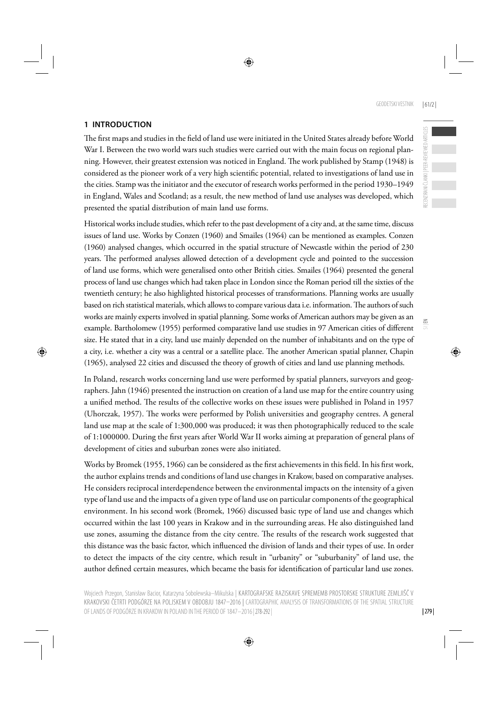### **1 INTRODUCTION**

The first maps and studies in the field of land use were initiated in the United States already before World War I. Between the two world wars such studies were carried out with the main focus on regional planning. However, their greatest extension was noticed in England. The work published by Stamp (1948) is considered as the pioneer work of a very high scientific potential, related to investigations of land use in the cities. Stamp was the initiator and the executor of research works performed in the period 1930–1949 in England, Wales and Scotland; as a result, the new method of land use analyses was developed, which presented the spatial distribution of main land use forms.

Historical works include studies, which refer to the past development of a city and, at the same time, discuss issues of land use. Works by Conzen (1960) and Smailes (1964) can be mentioned as examples. Conzen (1960) analysed changes, which occurred in the spatial structure of Newcastle within the period of 230 years. The performed analyses allowed detection of a development cycle and pointed to the succession of land use forms, which were generalised onto other British cities. Smailes (1964) presented the general process of land use changes which had taken place in London since the Roman period till the sixties of the twentieth century; he also highlighted historical processes of transformations. Planning works are usually based on rich statistical materials, which allows to compare various data i.e. information. The authors of such works are mainly experts involved in spatial planning. Some works of American authors may be given as an example. Bartholomew (1955) performed comparative land use studies in 97 American cities of different size. He stated that in a city, land use mainly depended on the number of inhabitants and on the type of a city, i.e. whether a city was a central or a satellite place. The another American spatial planner, Chapin (1965), analysed 22 cities and discussed the theory of growth of cities and land use planning methods.

In Poland, research works concerning land use were performed by spatial planners, surveyors and geographers. Jahn (1946) presented the instruction on creation of a land use map for the entire country using a unified method. The results of the collective works on these issues were published in Poland in 1957 (Uhorczak, 1957). The works were performed by Polish universities and geography centres. A general land use map at the scale of 1:300,000 was produced; it was then photographically reduced to the scale of 1:1000000. During the first years after World War II works aiming at preparation of general plans of development of cities and suburban zones were also initiated.

Works by Bromek (1955, 1966) can be considered as the first achievements in this field. In his first work, the author explains trends and conditions of land use changes in Krakow, based on comparative analyses. He considers reciprocal interdependence between the environmental impacts on the intensity of a given type of land use and the impacts of a given type of land use on particular components of the geographical environment. In his second work (Bromek, 1966) discussed basic type of land use and changes which occurred within the last 100 years in Krakow and in the surrounding areas. He also distinguished land use zones, assuming the distance from the city centre. The results of the research work suggested that this distance was the basic factor, which influenced the division of lands and their types of use. In order to detect the impacts of the city centre, which result in "urbanity" or "suburbanity" of land use, the author defined certain measures, which became the basis for identification of particular land use zones.  $\leq$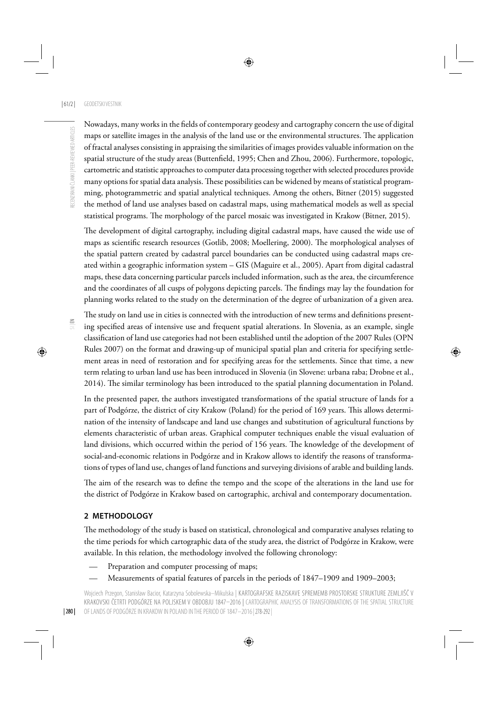Nowadays, many works in the fields of contemporary geodesy and cartography concern the use of digital maps or satellite images in the analysis of the land use or the environmental structures. The application of fractal analyses consisting in appraising the similarities of images provides valuable information on the spatial structure of the study areas (Buttenfield, 1995; Chen and Zhou, 2006). Furthermore, topologic, cartometric and statistic approaches to computer data processing together with selected procedures provide many options for spatial data analysis. These possibilities can be widened by means of statistical programming, photogrammetric and spatial analytical techniques. Among the others, Bitner (2015) suggested the method of land use analyses based on cadastral maps, using mathematical models as well as special statistical programs. The morphology of the parcel mosaic was investigated in Krakow (Bitner, 2015).

The development of digital cartography, including digital cadastral maps, have caused the wide use of maps as scientific research resources (Gotlib, 2008; Moellering, 2000). The morphological analyses of the spatial pattern created by cadastral parcel boundaries can be conducted using cadastral maps created within a geographic information system – GIS (Maguire et al., 2005). Apart from digital cadastral maps, these data concerning particular parcels included information, such as the area, the circumference and the coordinates of all cusps of polygons depicting parcels. The findings may lay the foundation for planning works related to the study on the determination of the degree of urbanization of a given area.

 $\Xi$ 

The study on land use in cities is connected with the introduction of new terms and definitions presenting specified areas of intensive use and frequent spatial alterations. In Slovenia, as an example, single classification of land use categories had not been established until the adoption of the 2007 Rules (OPN Rules 2007) on the format and drawing-up of municipal spatial plan and criteria for specifying settlement areas in need of restoration and for specifying areas for the settlements. Since that time, a new term relating to urban land use has been introduced in Slovenia (in Slovene: urbana raba; Drobne et al., 2014). The similar terminology has been introduced to the spatial planning documentation in Poland.

In the presented paper, the authors investigated transformations of the spatial structure of lands for a part of Podgórze, the district of city Krakow (Poland) for the period of 169 years. This allows determination of the intensity of landscape and land use changes and substitution of agricultural functions by elements characteristic of urban areas. Graphical computer techniques enable the visual evaluation of land divisions, which occurred within the period of 156 years. The knowledge of the development of social-and-economic relations in Podgórze and in Krakow allows to identify the reasons of transformations of types of land use, changes of land functions and surveying divisions of arable and building lands.

The aim of the research was to define the tempo and the scope of the alterations in the land use for the district of Podgórze in Krakow based on cartographic, archival and contemporary documentation.

#### **2 METHODOLOGY**

The methodology of the study is based on statistical, chronological and comparative analyses relating to the time periods for which cartographic data of the study area, the district of Podgórze in Krakow, were available. In this relation, the methodology involved the following chronology:

- Preparation and computer processing of maps;
- Measurements of spatial features of parcels in the periods of 1847–1909 and 1909–2003;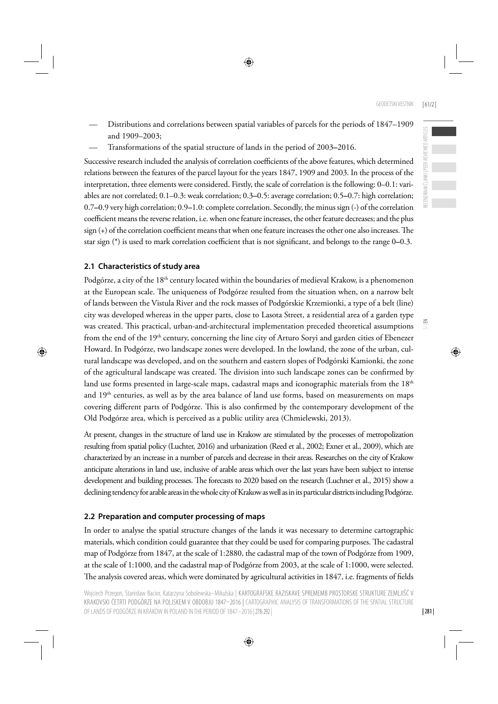$\leq$ 

- Distributions and correlations between spatial variables of parcels for the periods of 1847–1909 and 1909–2003;
- Transformations of the spatial structure of lands in the period of 2003**–**2016.

Successive research included the analysis of correlation coefficients of the above features, which determined relations between the features of the parcel layout for the years 1847, 1909 and 2003. In the process of the interpretation, three elements were considered. Firstly, the scale of correlation is the following: 0–0.1: variables are not correlated; 0.1–0.3: weak correlation; 0.3**–**0.5: average correlation; 0.5**–**0.7: high correlation; 0.7**–**0.9 very high correlation; 0.9**–**1.0: complete correlation. Secondly, the minus sign (-) of the correlation coefficient means the reverse relation, i.e. when one feature increases, the other feature decreases; and the plus sign (+) of the correlation coefficient means that when one feature increases the other one also increases. The star sign (\*) is used to mark correlation coefficient that is not significant, and belongs to the range 0–0.3.

## **2.1 Characteristics of study area**

Podgórze, a city of the 18<sup>th</sup> century located within the boundaries of medieval Krakow, is a phenomenon at the European scale. The uniqueness of Podgórze resulted from the situation when, on a narrow belt of lands between the Vistula River and the rock masses of Podgórskie Krzemionki, a type of a belt (line) city was developed whereas in the upper parts, close to Lasota Street, a residential area of a garden type was created. This practical, urban-and-architectural implementation preceded theoretical assumptions from the end of the 19<sup>th</sup> century, concerning the line city of Arturo Soryi and garden cities of Ebenezer Howard. In Podgórze, two landscape zones were developed. In the lowland, the zone of the urban, cultural landscape was developed, and on the southern and eastern slopes of Podgórski Kamionki, the zone of the agricultural landscape was created. The division into such landscape zones can be confirmed by land use forms presented in large-scale maps, cadastral maps and iconographic materials from the  $18<sup>th</sup>$ and  $19<sup>th</sup>$  centuries, as well as by the area balance of land use forms, based on measurements on maps covering different parts of Podgórze. This is also confirmed by the contemporary development of the Old Podgórze area, which is perceived as a public utility area (Chmielewski, 2013).

At present, changes in the structure of land use in Krakow are stimulated by the processes of metropolization resulting from spatial policy (Luchter, 2016) and urbanization (Reed et al., 2002; Exner et al., 2009), which are characterized by an increase in a number of parcels and decrease in their areas. Researches on the city of Krakow anticipate alterations in land use, inclusive of arable areas which over the last years have been subject to intense development and building processes. The forecasts to 2020 based on the research (Luchner et al., 2015) show a declining tendency for arable areas in the whole city of Krakow as well as in its particular districts including Podgórze.

# **2.2 Preparation and computer processing of maps**

In order to analyse the spatial structure changes of the lands it was necessary to determine cartographic materials, which condition could guarantee that they could be used for comparing purposes. The cadastral map of Podgórze from 1847, at the scale of 1:2880, the cadastral map of the town of Podgórze from 1909, at the scale of 1:1000, and the cadastral map of Podgórze from 2003, at the scale of 1:1000, were selected. The analysis covered areas, which were dominated by agricultural activities in 1847, i.e. fragments of fields

| 281 |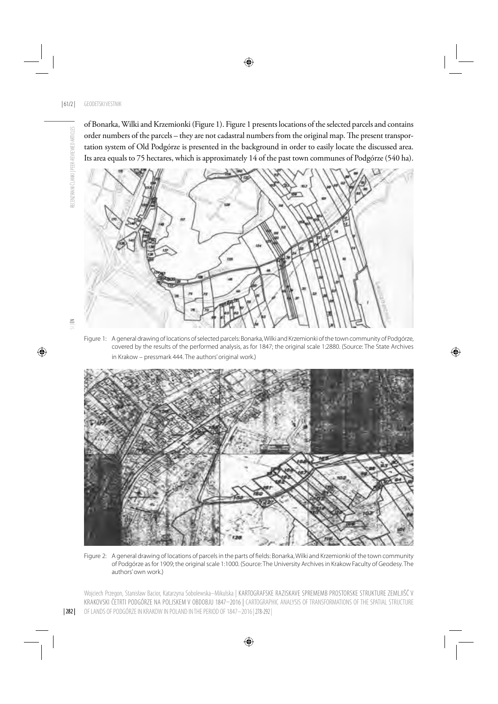of Bonarka, Wilki and Krzemionki (Figure 1). Figure 1 presents locations of the selected parcels and contains order numbers of the parcels - they are not cadastral numbers from the original map. The present transportation system of Old Podgórze is presented in the background in order to easily locate the discussed area. Its area equals to 75 hectares, which is approximately 14 of the past town communes of Podgórze (540 ha).



RECENZIRANI ČLANKI | PEER-REVIEWED ARTICLES

RECENZIRANI ČLANKI | PEER-REVIEWED ARTICLES

Figure 1: A general drawing of locations of selected parcels: Bonarka, Wilki and Krzemionki of the town community of Podgórze, covered by the results of the performed analysis, as for 1847; the original scale 1:2880. (Source: The State Archives in Krakow – pressmark 444. The authors' original work.)



Figure 2: A general drawing of locations of parcels in the parts of fields: Bonarka, Wilki and Krzemionki of the town community of Podgórze as for 1909; the original scale 1:1000. (Source: The University Archives in Krakow Faculty of Geodesy. The authors' own work.)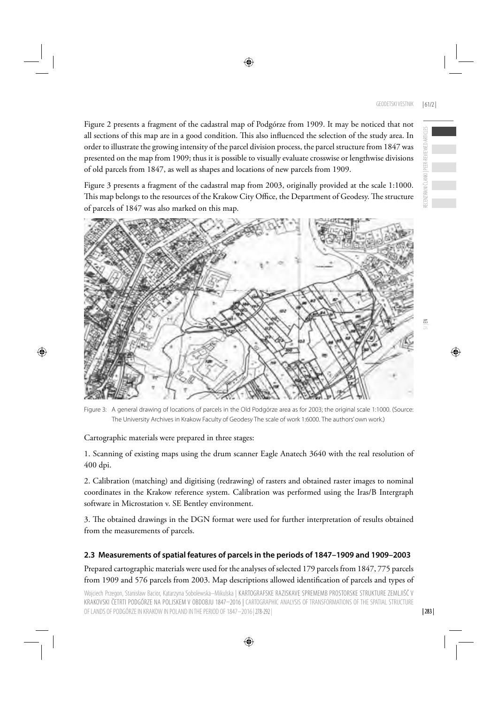Figure 2 presents a fragment of the cadastral map of Podgórze from 1909. It may be noticed that not all sections of this map are in a good condition. This also influenced the selection of the study area. In order to illustrate the growing intensity of the parcel division process, the parcel structure from 1847 was presented on the map from 1909; thus it is possible to visually evaluate crosswise or lengthwise divisions of old parcels from 1847, as well as shapes and locations of new parcels from 1909.

Figure 3 presents a fragment of the cadastral map from 2003, originally provided at the scale 1:1000. This map belongs to the resources of the Krakow City Office, the Department of Geodesy. The structure of parcels of 1847 was also marked on this map.



Figure 3: A general drawing of locations of parcels in the Old Podgórze area as for 2003; the original scale 1:1000. (Source: The University Archives in Krakow Faculty of Geodesy The scale of work 1:6000. The authors' own work.)

Cartographic materials were prepared in three stages:

1. Scanning of existing maps using the drum scanner Eagle Anatech 3640 with the real resolution of 400 dpi.

2. Calibration (matching) and digitising (redrawing) of rasters and obtained raster images to nominal coordinates in the Krakow reference system. Calibration was performed using the Iras/B Intergraph software in Microstation v. SE Bentley environment.

3. The obtained drawings in the DGN format were used for further interpretation of results obtained from the measurements of parcels.

# **2.3 Measurements of spatial features of parcels in the periods of 1847–1909 and 1909–2003**

Prepared cartographic materials were used for the analyses of selected 179 parcels from 1847, 775 parcels from 1909 and 576 parcels from 2003. Map descriptions allowed identification of parcels and types of

Wojciech Przegon, Stanisław Bacior, Katarzyna Sobolewska–Mikulska | KARTOGRAFSKE RAZISKAVE SPREMEMB PROSTORSKE STRUKTURE ZEMLJIŠČ V KRAKOVSKI ČETRTI PODGÓRZE NA POLJSKEM V OBDOBJU 1847–2016 |CARTOGRAPHIC ANALYSIS OF TRANSFORMATIONS OF THE SPATIAL STRUCTURE OF LANDS OF PODGÓRZE IN KRAKOW IN POLAND IN THE PERIOD OF 1847–2016 | 278-292 |

RECENZIRANI ČLANKI | PEER-REVIEWED ARTICLES

REVIEWED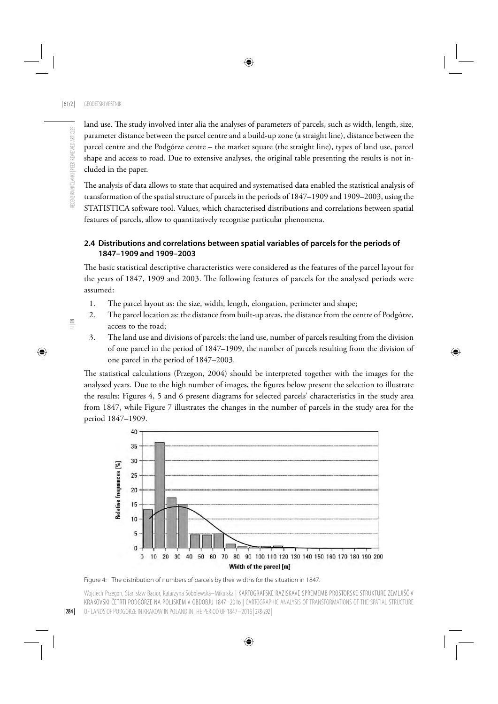land use. The study involved inter alia the analyses of parameters of parcels, such as width, length, size, parameter distance between the parcel centre and a build-up zone (a straight line), distance between the parcel centre and the Podgórze centre – the market square (the straight line), types of land use, parcel shape and access to road. Due to extensive analyses, the original table presenting the results is not included in the paper.

The analysis of data allows to state that acquired and systematised data enabled the statistical analysis of transformation of the spatial structure of parcels in the periods of 1847–1909 and 1909–2003, using the STATISTICA software tool. Values, which characterised distributions and correlations between spatial features of parcels, allow to quantitatively recognise particular phenomena.

## **2.4 Distributions and correlations between spatial variables of parcels for the periods of 1847–1909 and 1909–2003**

The basic statistical descriptive characteristics were considered as the features of the parcel layout for the years of 1847, 1909 and 2003. The following features of parcels for the analysed periods were assumed:

- 1. The parcel layout as: the size, width, length, elongation, perimeter and shape;
- 2. The parcel location as: the distance from built-up areas, the distance from the centre of Podgórze, access to the road;
- 3. The land use and divisions of parcels: the land use, number of parcels resulting from the division of one parcel in the period of 1847–1909, the number of parcels resulting from the division of one parcel in the period of 1847–2003.

The statistical calculations (Przegon, 2004) should be interpreted together with the images for the analysed years. Due to the high number of images, the figures below present the selection to illustrate the results: Figures 4, 5 and 6 present diagrams for selected parcels' characteristics in the study area from 1847, while Figure 7 illustrates the changes in the number of parcels in the study area for the period 1847–1909.



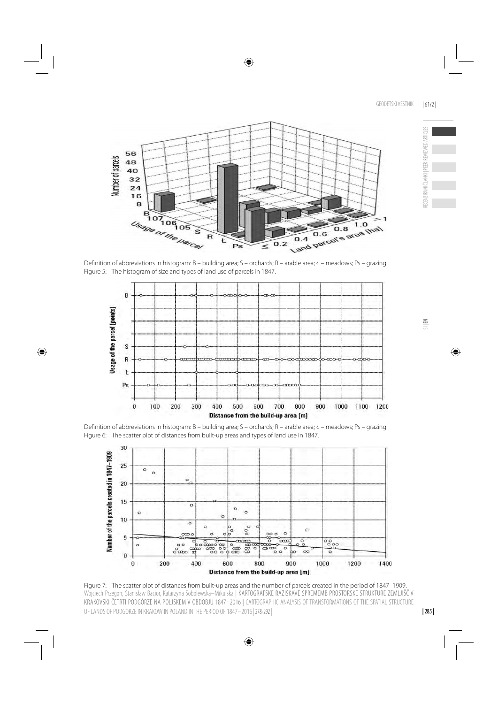

Definition of abbreviations in histogram: B – building area; S – orchards; R – arable area; Ł – meadows; Ps – grazing Figure 5: The histogram of size and types of land use of parcels in 1847.



Definition of abbreviations in histogram: B – building area; S – orchards; R – arable area; Ł – meadows; Ps – grazing Figure 6: The scatter plot of distances from built-up areas and types of land use in 1847.



Figure 7: The scatter plot of distances from built-up areas and the number of parcels created in the period of 1847–1909. Wojciech Przegon, Stanisław Bacior, Katarzyna Sobolewska–Mikulska | KARTOGRAFSKE RAZISKAVE SPREMEMB PROSTORSKE STRUKTURE ZEMLJIŠČ V KRAKOVSKI ČETRTI PODGÓRZE NA POLJSKEM V OBDOBJU 1847–2016 |CARTOGRAPHIC ANALYSIS OF TRANSFORMATIONS OF THE SPATIAL STRUCTURE OF LANDS OF PODGÓRZE IN KRAKOW IN POLAND IN THE PERIOD OF 1847–2016 | 278-292 |

RECENZIRANI ČLANKI | PEER-REVIEWED ARTICLES

RECENZIRANI ČLANKI | PEER-REVIEWED ARTICLES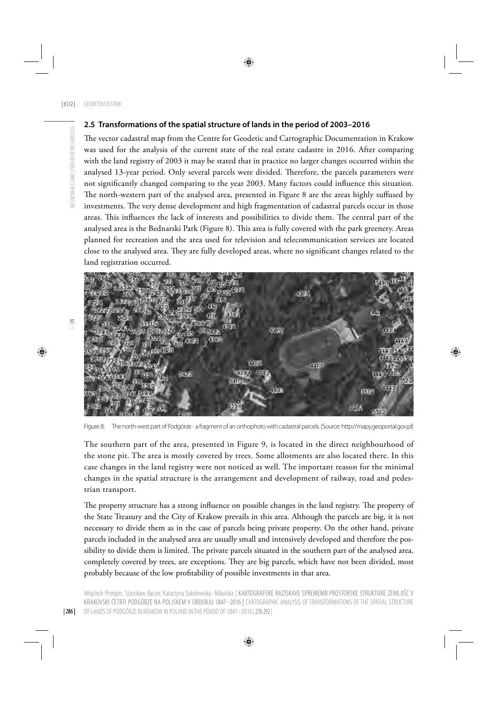#### **2.5 Transformations of the spatial structure of lands in the period of 2003–2016**

The vector cadastral map from the Centre for Geodetic and Cartographic Documentation in Krakow was used for the analysis of the current state of the real estate cadastre in 2016. After comparing with the land registry of 2003 it may be stated that in practice no larger changes occurred within the analysed 13-year period. Only several parcels were divided. Therefore, the parcels parameters were not significantly changed comparing to the year 2003. Many factors could influence this situation. The north-western part of the analysed area, presented in Figure 8 are the areas highly suffused by investments. The very dense development and high fragmentation of cadastral parcels occur in those areas. This influences the lack of interests and possibilities to divide them. The central part of the analysed area is the Bednarski Park (Figure 8). This area is fully covered with the park greenery. Areas planned for recreation and the area used for television and telecommunication services are located close to the analysed area. They are fully developed areas, where no significant changes related to the land registration occurred.



Figure 8: The north-west part of Podgórze - a fragment of an orthophoto with cadastral parcels. (Source: http://mapy.geoportal.gov.pl)

The southern part of the area, presented in Figure 9, is located in the direct neighbourhood of the stone pit. The area is mostly covered by trees. Some allotments are also located there. In this case changes in the land registry were not noticed as well. The important reason for the minimal changes in the spatial structure is the arrangement and development of railway, road and pedestrian transport.

The property structure has a strong influence on possible changes in the land registry. The property of the State Treasury and the City of Krakow prevails in this area. Although the parcels are big, it is not necessary to divide them as in the case of parcels being private property. On the other hand, private parcels included in the analysed area are usually small and intensively developed and therefore the possibility to divide them is limited. The private parcels situated in the southern part of the analysed area, completely covered by trees, are exceptions. They are big parcels, which have not been divided, most probably because of the low profitability of possible investments in that area.

Wojciech Przegon, Stanisław Bacior, Katarzyna Sobolewska–Mikulska | KARTOGRAFSKE RAZISKAVE SPREMEMB PROSTORSKE STRUKTURE ZEMLJIŠČ V KRAKOVSKI ČETRTI PODGÓRZE NA POLJSKEM V OBDOBJU 1847–2016 |CARTOGRAPHIC ANALYSIS OF TRANSFORMATIONS OF THE SPATIAL STRUCTURE OF LANDS OF PODGÓRZE IN KRAKOW IN POLAND IN THE PERIOD OF 1847–2016 | 278-292 |

 $\Xi$ 

RECENZIRANI ČLANKI | PEER-REVIEWED ARTICLES

RECENZIRANI ČLANKI | PEER-REVIEWED ARTICLES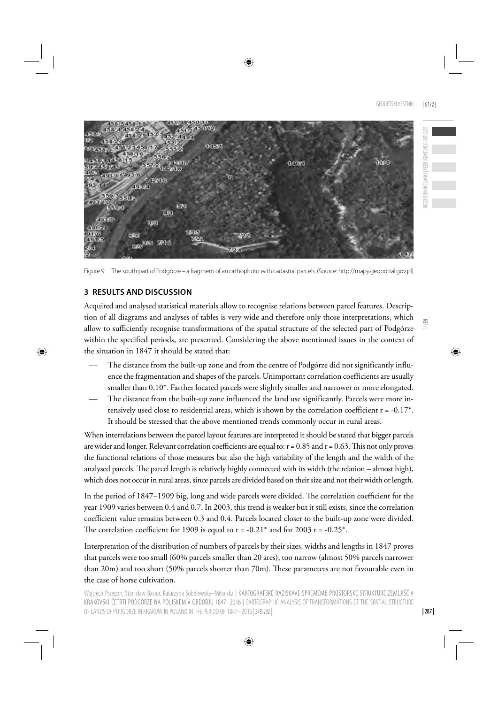$\leq$ 



Figure 9: The south part of Podgórze – a fragment of an orthophoto with cadastral parcels. (Source: http://mapy.geoportal.gov.pl)

# **3 RESULTS AND DISCUSSION**

Acquired and analysed statistical materials allow to recognise relations between parcel features. Description of all diagrams and analyses of tables is very wide and therefore only those interpretations, which allow to sufficiently recognise transformations of the spatial structure of the selected part of Podgórze within the specified periods, are presented. Considering the above mentioned issues in the context of the situation in 1847 it should be stated that:

- The distance from the built-up zone and from the centre of Podgórze did not significantly influence the fragmentation and shapes of the parcels. Unimportant correlation coefficients are usually smaller than 0.10\*. Farther located parcels were slightly smaller and narrower or more elongated.
- The distance from the built-up zone influenced the land use significantly. Parcels were more intensively used close to residential areas, which is shown by the correlation coefficient  $r = -0.17$ <sup>\*</sup>. It should be stressed that the above mentioned trends commonly occur in rural areas.

When interrelations between the parcel layout features are interpreted it should be stated that bigger parcels are wider and longer. Relevant correlation coefficients are equal to:  $r = 0.85$  and  $r = 0.63$ . This not only proves the functional relations of those measures but also the high variability of the length and the width of the analysed parcels. The parcel length is relatively highly connected with its width (the relation – almost high), which does not occur in rural areas, since parcels are divided based on their size and not their width or length.

In the period of 1847–1909 big, long and wide parcels were divided. The correlation coefficient for the year 1909 varies between 0.4 and 0.7. In 2003, this trend is weaker but it still exists, since the correlation coefficient value remains between 0.3 and 0.4. Parcels located closer to the built-up zone were divided. The correlation coefficient for 1909 is equal to  $r = -0.21^*$  and for 2003  $r = -0.25^*$ .

Interpretation of the distribution of numbers of parcels by their sizes, widths and lengths in 1847 proves that parcels were too small (60% parcels smaller than 20 ares), too narrow (almost 50% parcels narrower than 20m) and too short (50% parcels shorter than 70m). These parameters are not favourable even in the case of horse cultivation.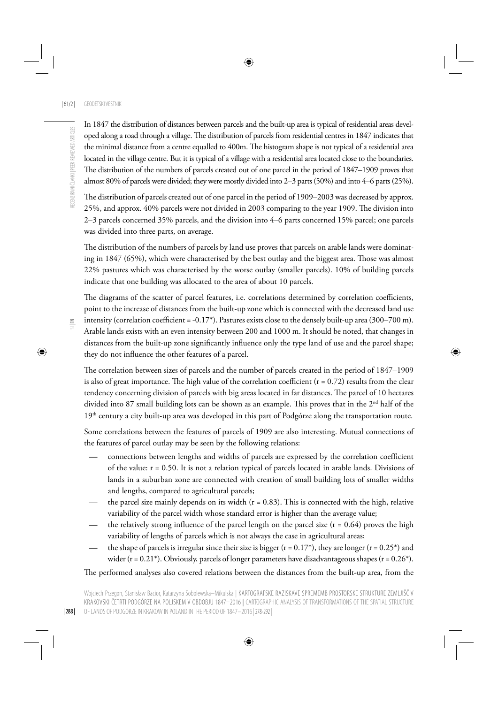In 1847 the distribution of distances between parcels and the built-up area is typical of residential areas developed along a road through a village. The distribution of parcels from residential centres in 1847 indicates that the minimal distance from a centre equalled to 400m. The histogram shape is not typical of a residential area located in the village centre. But it is typical of a village with a residential area located close to the boundaries. The distribution of the numbers of parcels created out of one parcel in the period of 1847–1909 proves that almost 80% of parcels were divided; they were mostly divided into 2–3 parts (50%) and into 4–6 parts (25%).

The distribution of parcels created out of one parcel in the period of 1909–2003 was decreased by approx. 25%, and approx. 40% parcels were not divided in 2003 comparing to the year 1909. The division into 2–3 parcels concerned 35% parcels, and the division into 4–6 parts concerned 15% parcel; one parcels was divided into three parts, on average.

The distribution of the numbers of parcels by land use proves that parcels on arable lands were dominating in 1847 (65%), which were characterised by the best outlay and the biggest area. Those was almost 22% pastures which was characterised by the worse outlay (smaller parcels). 10% of building parcels indicate that one building was allocated to the area of about 10 parcels.

| 288 |

The diagrams of the scatter of parcel features, i.e. correlations determined by correlation coefficients, point to the increase of distances from the built-up zone which is connected with the decreased land use intensity (correlation coefficient =  $-0.17$ <sup>\*</sup>). Pastures exists close to the densely built-up area (300–700 m). Arable lands exists with an even intensity between 200 and 1000 m. It should be noted, that changes in distances from the built-up zone significantly influence only the type land of use and the parcel shape; they do not influence the other features of a parcel.

The correlation between sizes of parcels and the number of parcels created in the period of 1847–1909 is also of great importance. The high value of the correlation coefficient ( $r = 0.72$ ) results from the clear tendency concerning division of parcels with big areas located in far distances. The parcel of 10 hectares divided into 87 small building lots can be shown as an example. This proves that in the 2<sup>nd</sup> half of the 19th century a city built-up area was developed in this part of Podgórze along the transportation route.

Some correlations between the features of parcels of 1909 are also interesting. Mutual connections of the features of parcel outlay may be seen by the following relations:

- connections between lengths and widths of parcels are expressed by the correlation coefficient of the value: r = 0.50. It is not a relation typical of parcels located in arable lands. Divisions of lands in a suburban zone are connected with creation of small building lots of smaller widths and lengths, compared to agricultural parcels;
- the parcel size mainly depends on its width  $(r = 0.83)$ . This is connected with the high, relative variability of the parcel width whose standard error is higher than the average value;
- the relatively strong influence of the parcel length on the parcel size  $(r = 0.64)$  proves the high variability of lengths of parcels which is not always the case in agricultural areas;
- the shape of parcels is irregular since their size is bigger ( $r = 0.17^*$ ), they are longer ( $r = 0.25^*$ ) and wider ( $r = 0.21^*$ ). Obviously, parcels of longer parameters have disadvantageous shapes ( $r = 0.26^*$ ).

The performed analyses also covered relations between the distances from the built-up area, from the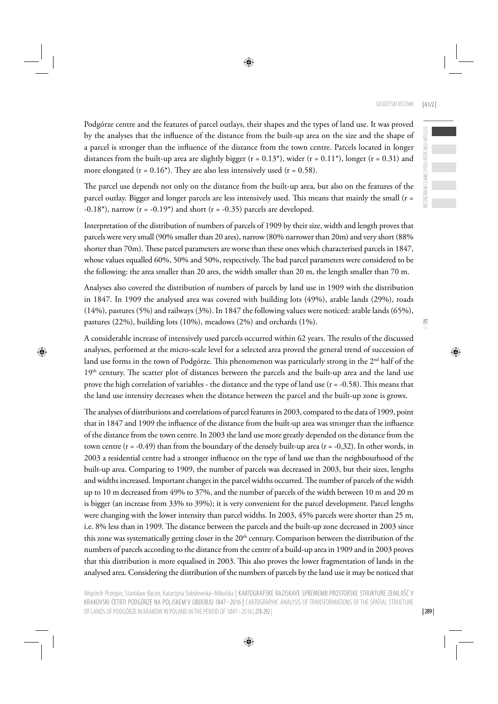GEODETSKI VESTNIK | 61/2 |

Podgórze centre and the features of parcel outlays, their shapes and the types of land use. It was proved by the analyses that the influence of the distance from the built-up area on the size and the shape of a parcel is stronger than the influence of the distance from the town centre. Parcels located in longer distances from the built-up area are slightly bigger ( $r = 0.13$ \*), wider ( $r = 0.11$ \*), longer ( $r = 0.31$ ) and more elongated ( $r = 0.16$ <sup>\*</sup>). They are also less intensively used ( $r = 0.58$ ).

The parcel use depends not only on the distance from the built-up area, but also on the features of the parcel outlay. Bigger and longer parcels are less intensively used. This means that mainly the small (r =  $-0.18^*$ ), narrow (r =  $-0.19^*$ ) and short (r =  $-0.35$ ) parcels are developed.

Interpretation of the distribution of numbers of parcels of 1909 by their size, width and length proves that parcels were very small (90% smaller than 20 ares), narrow (80% narrower than 20m) and very short (88% shorter than 70m). These parcel parameters are worse than these ones which characterised parcels in 1847, whose values equalled 60%, 50% and 50%, respectively. The bad parcel parameters were considered to be the following: the area smaller than 20 ares, the width smaller than 20 m, the length smaller than 70 m.

Analyses also covered the distribution of numbers of parcels by land use in 1909 with the distribution in 1847. In 1909 the analysed area was covered with building lots (49%), arable lands (29%), roads (14%), pastures (5%) and railways (3%). In 1847 the following values were noticed: arable lands (65%), pastures (22%), building lots (10%), meadows (2%) and orchards (1%).

A considerable increase of intensively used parcels occurred within 62 years. The results of the discussed analyses, performed at the micro-scale level for a selected area proved the general trend of succession of land use forms in the town of Podgórze. This phenomenon was particularly strong in the  $2<sup>nd</sup>$  half of the  $19<sup>th</sup>$  century. The scatter plot of distances between the parcels and the built-up area and the land use prove the high correlation of variables - the distance and the type of land use  $(r = -0.58)$ . This means that the land use intensity decreases when the distance between the parcel and the built-up zone is grows.

The analyses of distributions and correlations of parcel features in 2003, compared to the data of 1909, point that in 1847 and 1909 the influence of the distance from the built-up area was stronger than the influence of the distance from the town centre. In 2003 the land use more greatly depended on the distance from the town centre  $(r = -0.49)$  than from the boundary of the densely built-up area  $(r = -0.32)$ . In other words, in 2003 a residential centre had a stronger influence on the type of land use than the neighbourhood of the built-up area. Comparing to 1909, the number of parcels was decreased in 2003, but their sizes, lengths and widths increased. Important changes in the parcel widths occurred. The number of parcels of the width up to 10 m decreased from 49% to 37%, and the number of parcels of the width between 10 m and 20 m is bigger (an increase from 33% to 39%); it is very convenient for the parcel development. Parcel lengths were changing with the lower intensity than parcel widths. In 2003, 45% parcels were shorter than 25 m, i.e. 8% less than in 1909. The distance between the parcels and the built-up zone decreased in 2003 since this zone was systematically getting closer in the  $20<sup>th</sup>$  century. Comparison between the distribution of the numbers of parcels according to the distance from the centre of a build-up area in 1909 and in 2003 proves that this distribution is more equalised in 2003. This also proves the lower fragmentation of lands in the analysed area. Considering the distribution of the numbers of parcels by the land use it may be noticed that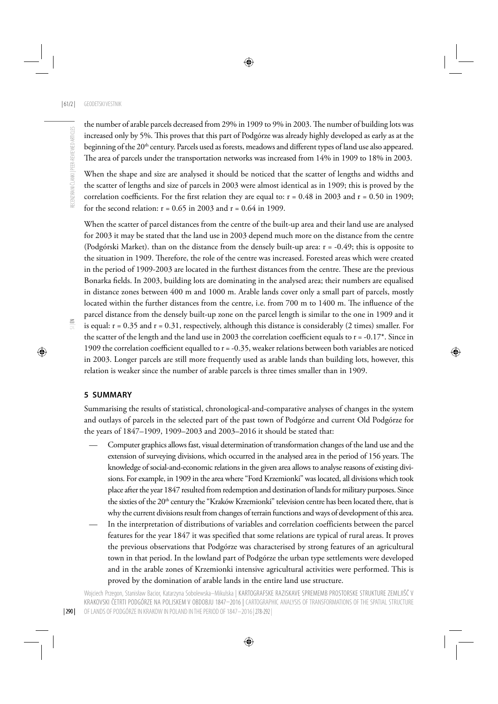the number of arable parcels decreased from 29% in 1909 to 9% in 2003. The number of building lots was increased only by 5%. This proves that this part of Podgórze was already highly developed as early as at the beginning of the 20<sup>th</sup> century. Parcels used as forests, meadows and different types of land use also appeared. The area of parcels under the transportation networks was increased from 14% in 1909 to 18% in 2003.

When the shape and size are analysed it should be noticed that the scatter of lengths and widths and the scatter of lengths and size of parcels in 2003 were almost identical as in 1909; this is proved by the correlation coefficients. For the first relation they are equal to:  $r = 0.48$  in 2003 and  $r = 0.50$  in 1909; for the second relation:  $r = 0.65$  in 2003 and  $r = 0.64$  in 1909.

When the scatter of parcel distances from the centre of the built-up area and their land use are analysed for 2003 it may be stated that the land use in 2003 depend much more on the distance from the centre (Podgórski Market). than on the distance from the densely built-up area: r = -0.49; this is opposite to the situation in 1909. Therefore, the role of the centre was increased. Forested areas which were created in the period of 1909-2003 are located in the furthest distances from the centre. These are the previous Bonarka fields. In 2003, building lots are dominating in the analysed area; their numbers are equalised in distance zones between 400 m and 1000 m. Arable lands cover only a small part of parcels, mostly located within the further distances from the centre, i.e. from 700 m to 1400 m. The influence of the parcel distance from the densely built-up zone on the parcel length is similar to the one in 1909 and it is equal:  $r = 0.35$  and  $r = 0.31$ , respectively, although this distance is considerably (2 times) smaller. For the scatter of the length and the land use in 2003 the correlation coefficient equals to  $r = -0.17^*$ . Since in 1909 the correlation coefficient equalled to  $r = -0.35$ , weaker relations between both variables are noticed in 2003. Longer parcels are still more frequently used as arable lands than building lots, however, this relation is weaker since the number of arable parcels is three times smaller than in 1909.

#### **5 SUMMARY**

Summarising the results of statistical, chronological-and-comparative analyses of changes in the system and outlays of parcels in the selected part of the past town of Podgórze and current Old Podgórze for the years of 1847–1909, 1909–2003 and 2003–2016 it should be stated that:

- Computer graphics allows fast, visual determination of transformation changes of the land use and the extension of surveying divisions, which occurred in the analysed area in the period of 156 years. The knowledge of social-and-economic relations in the given area allows to analyse reasons of existing divisions. For example, in 1909 in the area where "Ford Krzemionki" was located, all divisions which took place after the year 1847 resulted from redemption and destination of lands for military purposes. Since the sixties of the 20<sup>th</sup> century the "Kraków Krzemionki" television centre has been located there, that is why the current divisions result from changes of terrain functions and ways of development of this area.
- In the interpretation of distributions of variables and correlation coefficients between the parcel features for the year 1847 it was specified that some relations are typical of rural areas. It proves the previous observations that Podgórze was characterised by strong features of an agricultural town in that period. In the lowland part of Podgórze the urban type settlements were developed and in the arable zones of Krzemionki intensive agricultural activities were performed. This is proved by the domination of arable lands in the entire land use structure.

Wojciech Przegon, Stanisław Bacior, Katarzyna Sobolewska–Mikulska | KARTOGRAFSKE RAZISKAVE SPREMEMB PROSTORSKE STRUKTURE ZEMLJIŠČ V KRAKOVSKI ČETRTI PODGÓRZE NA POLJSKEM V OBDOBJU 1847–2016 |CARTOGRAPHIC ANALYSIS OF TRANSFORMATIONS OF THE SPATIAL STRUCTURE OF LANDS OF PODGÓRZE IN KRAKOW IN POLAND IN THE PERIOD OF 1847–2016 | 278-292 |

| 290 |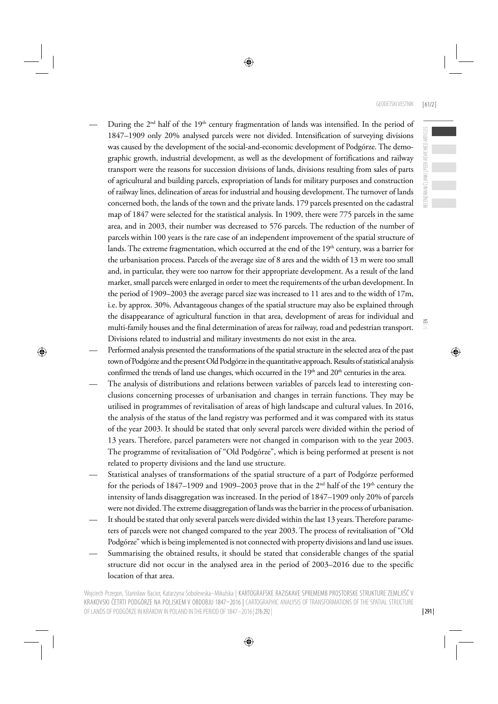RECENZIRANI ČLANKI | PEER-REVIEWED ARTICLES

ECENZIRANI ČLANKI | PEER-REVIEWED ARTICLES

 $\leq$ 

- During the  $2<sup>nd</sup>$  half of the 19<sup>th</sup> century fragmentation of lands was intensified. In the period of 1847–1909 only 20% analysed parcels were not divided. Intensification of surveying divisions was caused by the development of the social-and-economic development of Podgórze. The demographic growth, industrial development, as well as the development of fortifications and railway transport were the reasons for succession divisions of lands, divisions resulting from sales of parts of agricultural and building parcels, expropriation of lands for military purposes and construction of railway lines, delineation of areas for industrial and housing development. The turnover of lands concerned both, the lands of the town and the private lands. 179 parcels presented on the cadastral map of 1847 were selected for the statistical analysis. In 1909, there were 775 parcels in the same area, and in 2003, their number was decreased to 576 parcels. The reduction of the number of parcels within 100 years is the rare case of an independent improvement of the spatial structure of lands. The extreme fragmentation, which occurred at the end of the  $19<sup>th</sup>$  century, was a barrier for the urbanisation process. Parcels of the average size of 8 ares and the width of 13 m were too small and, in particular, they were too narrow for their appropriate development. As a result of the land market, small parcels were enlarged in order to meet the requirements of the urban development. In the period of 1909–2003 the average parcel size was increased to 11 ares and to the width of 17m, i.e. by approx. 30%. Advantageous changes of the spatial structure may also be explained through the disappearance of agricultural function in that area, development of areas for individual and multi-family houses and the final determination of areas for railway, road and pedestrian transport. Divisions related to industrial and military investments do not exist in the area.
- Performed analysis presented the transformations of the spatial structure in the selected area of the past town of Podgórze and the present Old Podgórze in the quantitative approach. Results of statistical analysis confirmed the trends of land use changes, which occurred in the  $19<sup>th</sup>$  and  $20<sup>th</sup>$  centuries in the area.
- The analysis of distributions and relations between variables of parcels lead to interesting conclusions concerning processes of urbanisation and changes in terrain functions. They may be utilised in programmes of revitalisation of areas of high landscape and cultural values. In 2016, the analysis of the status of the land registry was performed and it was compared with its status of the year 2003. It should be stated that only several parcels were divided within the period of 13 years. Therefore, parcel parameters were not changed in comparison with to the year 2003. The programme of revitalisation of "Old Podgórze", which is being performed at present is not related to property divisions and the land use structure.
- Statistical analyses of transformations of the spatial structure of a part of Podgórze performed for the periods of 1847–1909 and 1909–2003 prove that in the 2<sup>nd</sup> half of the 19<sup>th</sup> century the intensity of lands disaggregation was increased. In the period of 1847–1909 only 20% of parcels were not divided. The extreme disaggregation of lands was the barrier in the process of urbanisation.
- It should be stated that only several parcels were divided within the last 13 years. Therefore parameters of parcels were not changed compared to the year 2003. The process of revitalisation of "Old Podgórze" which is being implemented is not connected with property divisions and land use issues.
- Summarising the obtained results, it should be stated that considerable changes of the spatial structure did not occur in the analysed area in the period of 2003–2016 due to the specific location of that area.